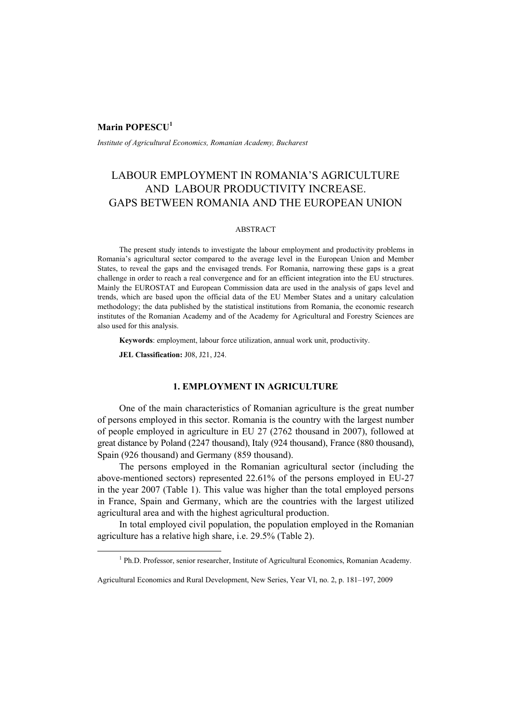# **Marin POPESCU<sup>1</sup>**

*Institute of Agricultural Economics, Romanian Academy, Bucharest* 

# LABOUR EMPLOYMENT IN ROMANIA'S AGRICULTURE AND LABOUR PRODUCTIVITY INCREASE. GAPS BETWEEN ROMANIA AND THE EUROPEAN UNION

# ABSTRACT

The present study intends to investigate the labour employment and productivity problems in Romania's agricultural sector compared to the average level in the European Union and Member States, to reveal the gaps and the envisaged trends. For Romania, narrowing these gaps is a great challenge in order to reach a real convergence and for an efficient integration into the EU structures. Mainly the EUROSTAT and European Commission data are used in the analysis of gaps level and trends, which are based upon the official data of the EU Member States and a unitary calculation methodology; the data published by the statistical institutions from Romania, the economic research institutes of the Romanian Academy and of the Academy for Agricultural and Forestry Sciences are also used for this analysis.

**Keywords**: employment, labour force utilization, annual work unit, productivity.

**JEL Classification:** J08, J21, J24.

# **1. EMPLOYMENT IN AGRICULTURE**

One of the main characteristics of Romanian agriculture is the great number of persons employed in this sector. Romania is the country with the largest number of people employed in agriculture in EU 27 (2762 thousand in 2007), followed at great distance by Poland (2247 thousand), Italy (924 thousand), France (880 thousand), Spain (926 thousand) and Germany (859 thousand).

The persons employed in the Romanian agricultural sector (including the above-mentioned sectors) represented 22.61% of the persons employed in EU-27 in the year 2007 (Table 1). This value was higher than the total employed persons in France, Spain and Germany, which are the countries with the largest utilized agricultural area and with the highest agricultural production.

In total employed civil population, the population employed in the Romanian agriculture has a relative high share, i.e. 29.5% (Table 2).

 $\frac{1}{1}$ <sup>1</sup> Ph.D. Professor, senior researcher, Institute of Agricultural Economics, Romanian Academy.

Agricultural Economics and Rural Development, New Series, Year VI, no. 2, p. 181–197, 2009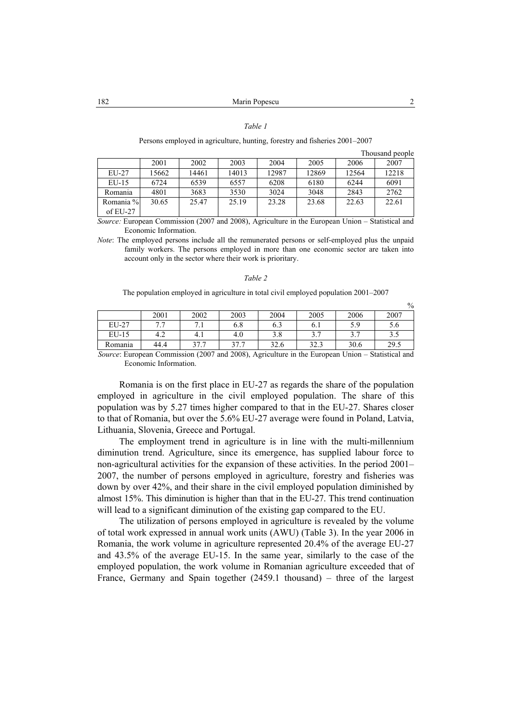### *Table 1*

### Persons employed in agriculture, hunting, forestry and fisheries 2001–2007

| Thousand people |  |
|-----------------|--|
|                 |  |

|           | 2001  | 2002  | 2003  | 2004  | 2005  | 2006  | 2007  |
|-----------|-------|-------|-------|-------|-------|-------|-------|
| EU-27     | 15662 | 14461 | 14013 | 12987 | 12869 | 12564 | 12218 |
| $EU-15$   | 6724  | 6539  | 6557  | 6208  | 6180  | 6244  | 6091  |
| Romania   | 4801  | 3683  | 3530  | 3024  | 3048  | 2843  | 2762  |
| Romania % | 30.65 | 25.47 | 25.19 | 23.28 | 23.68 | 22.63 | 22.61 |
| of EU-27  |       |       |       |       |       |       |       |

*Source:* European Commission (2007 and 2008), Agriculture in the European Union – Statistical and Economic Information.

*Note*: The employed persons include all the remunerated persons or self-employed plus the unpaid family workers. The persons employed in more than one economic sector are taken into account only in the sector where their work is prioritary.

#### *Table 2*

The population employed in agriculture in total civil employed population 2001–2007

|         |        |          |      |      |             |      | $\%$ |
|---------|--------|----------|------|------|-------------|------|------|
|         | 2001   | 2002     | 2003 | 2004 | 2005        | 2006 | 2007 |
| EU-27   | $\sim$ | $\cdots$ | 6.8  | 6.3  |             | 5.9  | D.O  |
| $EU-15$ | 4.2    | 4. I     | 4.6  | 0.د  |             |      | ر. ر |
| Romania | 44.4   | 37.7     | 27 7 | 32.6 | 222<br>J2.J | 30.6 | 29.5 |

*Source*: European Commission (2007 and 2008), Agriculture in the European Union – Statistical and Economic Information.

Romania is on the first place in EU-27 as regards the share of the population employed in agriculture in the civil employed population. The share of this population was by 5.27 times higher compared to that in the EU-27. Shares closer to that of Romania, but over the 5.6% EU-27 average were found in Poland, Latvia, Lithuania, Slovenia, Greece and Portugal.

The employment trend in agriculture is in line with the multi-millennium diminution trend. Agriculture, since its emergence, has supplied labour force to non-agricultural activities for the expansion of these activities. In the period 2001– 2007, the number of persons employed in agriculture, forestry and fisheries was down by over 42%, and their share in the civil employed population diminished by almost 15%. This diminution is higher than that in the EU-27. This trend continuation will lead to a significant diminution of the existing gap compared to the EU.

The utilization of persons employed in agriculture is revealed by the volume of total work expressed in annual work units (AWU) (Table 3). In the year 2006 in Romania, the work volume in agriculture represented 20.4% of the average EU-27 and 43.5% of the average EU-15. In the same year, similarly to the case of the employed population, the work volume in Romanian agriculture exceeded that of France, Germany and Spain together (2459.1 thousand) – three of the largest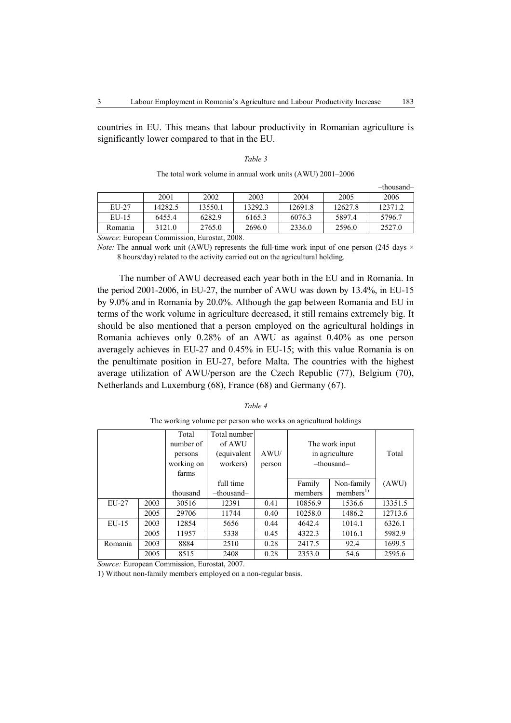countries in EU. This means that labour productivity in Romanian agriculture is significantly lower compared to that in the EU.

| ۰,<br>I |  |
|---------|--|
|---------|--|

| The total work volume in annual work units (AWU) 2001–2006 |  |  |  |
|------------------------------------------------------------|--|--|--|
|------------------------------------------------------------|--|--|--|

|                                                     |         |         |         |         |         | -thousand- |
|-----------------------------------------------------|---------|---------|---------|---------|---------|------------|
|                                                     | 2001    | 2002    | 2003    | 2004    | 2005    | 2006       |
| $EU-27$                                             | 14282.5 | 13550.1 | 13292.3 | 12691.8 | 12627.8 | 12371.2    |
| $EU-15$                                             | 6455.4  | 6282.9  | 6165.3  | 6076.3  | 5897.4  | 5796.7     |
| Romania                                             | 3121.0  | 2765.0  | 2696.0  | 2336.0  | 2596.0  | 2527.0     |
| <i>Source:</i> European Commission, Eurostat, 2008. |         |         |         |         |         |            |

*Note:* The annual work unit (AWU) represents the full-time work input of one person (245 days  $\times$ 

8 hours/day) related to the activity carried out on the agricultural holding*.* 

The number of AWU decreased each year both in the EU and in Romania. In the period 2001-2006, in EU-27, the number of AWU was down by 13.4%, in EU-15 by 9.0% and in Romania by 20.0%. Although the gap between Romania and EU in terms of the work volume in agriculture decreased, it still remains extremely big. It should be also mentioned that a person employed on the agricultural holdings in Romania achieves only 0.28% of an AWU as against 0.40% as one person averagely achieves in EU-27 and 0.45% in EU-15; with this value Romania is on the penultimate position in EU-27, before Malta. The countries with the highest average utilization of AWU/person are the Czech Republic (77), Belgium (70), Netherlands and Luxemburg (68), France (68) and Germany (67).

### *Table 4*

 Total number of persons working on farms Total number of AWU (equivalent workers) AWU/ person The work input in agriculture –thousand– Total thousand full time –thousand– Family members Non-family  $members<sup>1</sup>$ (AWU) EU-27 2003 30516 12391 0.41 10856.9 1536.6 13351.5 2005 29706 11744 0.40 10258.0 1486.2 12713.6 EU-15 2003 12854 5656 0.44 4642.4 1014.1 6326.1 | 2005 | 11957 | 5338 | 0.45 | 4322.3 | 1016.1 | 5982.9 Romania 2003 8884 2510 0.28 2417.5 92.4 1699.5 2005 8515 2408 0.28 2353.0 54.6 2595.6

The working volume per person who works on agricultural holdings

*Source:* European Commission, Eurostat, 2007.

1) Without non-family members employed on a non-regular basis.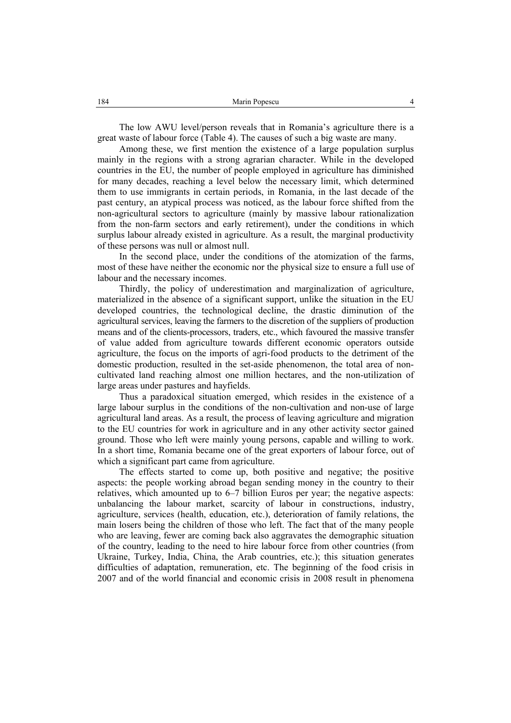The low AWU level/person reveals that in Romania's agriculture there is a great waste of labour force (Table 4). The causes of such a big waste are many.

Among these, we first mention the existence of a large population surplus mainly in the regions with a strong agrarian character. While in the developed countries in the EU, the number of people employed in agriculture has diminished for many decades, reaching a level below the necessary limit, which determined them to use immigrants in certain periods, in Romania, in the last decade of the past century, an atypical process was noticed, as the labour force shifted from the non-agricultural sectors to agriculture (mainly by massive labour rationalization from the non-farm sectors and early retirement), under the conditions in which surplus labour already existed in agriculture. As a result, the marginal productivity of these persons was null or almost null.

In the second place, under the conditions of the atomization of the farms, most of these have neither the economic nor the physical size to ensure a full use of labour and the necessary incomes.

Thirdly, the policy of underestimation and marginalization of agriculture, materialized in the absence of a significant support, unlike the situation in the EU developed countries, the technological decline, the drastic diminution of the agricultural services, leaving the farmers to the discretion of the suppliers of production means and of the clients-processors, traders, etc., which favoured the massive transfer of value added from agriculture towards different economic operators outside agriculture, the focus on the imports of agri-food products to the detriment of the domestic production, resulted in the set-aside phenomenon, the total area of noncultivated land reaching almost one million hectares, and the non-utilization of large areas under pastures and hayfields.

Thus a paradoxical situation emerged, which resides in the existence of a large labour surplus in the conditions of the non-cultivation and non-use of large agricultural land areas. As a result, the process of leaving agriculture and migration to the EU countries for work in agriculture and in any other activity sector gained ground. Those who left were mainly young persons, capable and willing to work. In a short time, Romania became one of the great exporters of labour force, out of which a significant part came from agriculture.

The effects started to come up, both positive and negative; the positive aspects: the people working abroad began sending money in the country to their relatives, which amounted up to 6–7 billion Euros per year; the negative aspects: unbalancing the labour market, scarcity of labour in constructions, industry, agriculture, services (health, education, etc.), deterioration of family relations, the main losers being the children of those who left. The fact that of the many people who are leaving, fewer are coming back also aggravates the demographic situation of the country, leading to the need to hire labour force from other countries (from Ukraine, Turkey, India, China, the Arab countries, etc.); this situation generates difficulties of adaptation, remuneration, etc. The beginning of the food crisis in 2007 and of the world financial and economic crisis in 2008 result in phenomena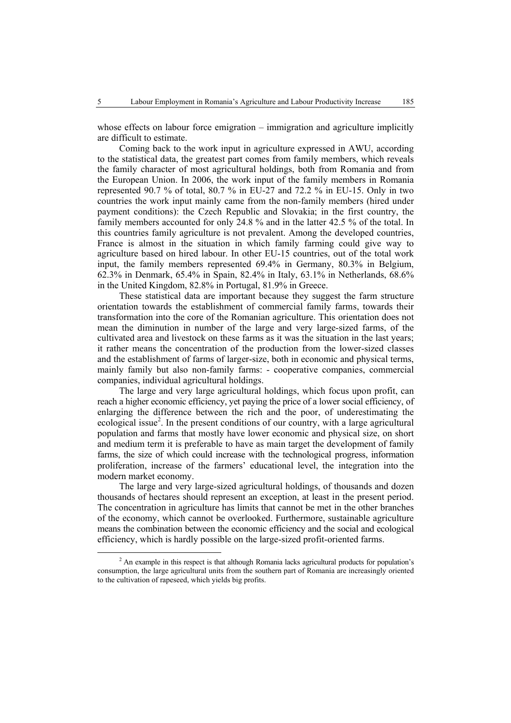whose effects on labour force emigration – immigration and agriculture implicitly are difficult to estimate.

Coming back to the work input in agriculture expressed in AWU, according to the statistical data, the greatest part comes from family members, which reveals the family character of most agricultural holdings, both from Romania and from the European Union. In 2006, the work input of the family members in Romania represented 90.7 % of total, 80.7 % in EU-27 and 72.2 % in EU-15. Only in two countries the work input mainly came from the non-family members (hired under payment conditions): the Czech Republic and Slovakia; in the first country, the family members accounted for only 24.8 % and in the latter 42.5 % of the total. In this countries family agriculture is not prevalent. Among the developed countries, France is almost in the situation in which family farming could give way to agriculture based on hired labour. In other EU-15 countries, out of the total work input, the family members represented 69.4% in Germany, 80.3% in Belgium, 62.3% in Denmark, 65.4% in Spain, 82.4% in Italy, 63.1% in Netherlands, 68.6% in the United Kingdom, 82.8% in Portugal, 81.9% in Greece.

These statistical data are important because they suggest the farm structure orientation towards the establishment of commercial family farms, towards their transformation into the core of the Romanian agriculture. This orientation does not mean the diminution in number of the large and very large-sized farms, of the cultivated area and livestock on these farms as it was the situation in the last years; it rather means the concentration of the production from the lower-sized classes and the establishment of farms of larger-size, both in economic and physical terms, mainly family but also non-family farms: - cooperative companies, commercial companies, individual agricultural holdings.

The large and very large agricultural holdings, which focus upon profit, can reach a higher economic efficiency, yet paying the price of a lower social efficiency, of enlarging the difference between the rich and the poor, of underestimating the ecological issue<sup>2</sup>. In the present conditions of our country, with a large agricultural population and farms that mostly have lower economic and physical size, on short and medium term it is preferable to have as main target the development of family farms, the size of which could increase with the technological progress, information proliferation, increase of the farmers' educational level, the integration into the modern market economy.

The large and very large-sized agricultural holdings, of thousands and dozen thousands of hectares should represent an exception, at least in the present period. The concentration in agriculture has limits that cannot be met in the other branches of the economy, which cannot be overlooked. Furthermore, sustainable agriculture means the combination between the economic efficiency and the social and ecological efficiency, which is hardly possible on the large-sized profit-oriented farms.

 <sup>2</sup> <sup>2</sup> An example in this respect is that although Romania lacks agricultural products for population's consumption, the large agricultural units from the southern part of Romania are increasingly oriented to the cultivation of rapeseed, which yields big profits.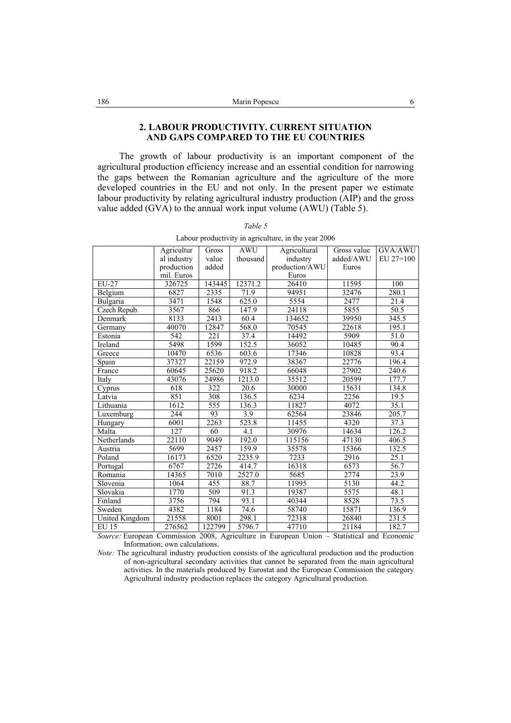# **2. LABOUR PRODUCTIVITY. CURRENT SITUATION AND GAPS COMPARED TO THE EU COUNTRIES**

The growth of labour productivity is an important component of the agricultural production efficiency increase and an essential condition for narrowing the gaps between the Romanian agriculture and the agriculture of the more developed countries in the EU and not only. In the present paper we estimate labour productivity by relating agricultural industry production (AIP) and the gross value added (GVA) to the annual work input volume (AWU) (Table 5).

|                | Agricultur  | Gross  | <b>AWU</b>          | Agricultural   | Gross value | GVA/AWU     |
|----------------|-------------|--------|---------------------|----------------|-------------|-------------|
|                | al industry | value  | thousand            | industry       | added/AWU   | $EU 27=100$ |
|                | production  | added  |                     | production/AWU | Euros       |             |
|                | mil. Euros  |        |                     | Euros          |             |             |
| EU-27          | 326725      | 143445 | 12371.2             | 26410          | 11595       | 100         |
| Belgium        | 6827        | 2335   | 71.9                | 94951          | 32476       | 280.1       |
| Bulgaria       | 3471        | 1548   | 625.0               | 5554           | 2477        | 21.4        |
| Czech Repub.   | 3567        | 866    | 147.9               | 24118          | 5855        | 50.5        |
| Denmark        | 8133        | 2413   | 60.4                | 134652         | 39950       | 345.5       |
| Germany        | 40070       | 12847  | 568.0               | 70545          | 22618       | 195.1       |
| Estonia        | 542         | 221    | 37.4                | 14492          | 5909        | 51.0        |
| Ireland        | 5498        | 1599   | 152.5               | 36052          | 10485       | 90.4        |
| Greece         | 10470       | 6536   | 603.6               | 17346          | 10828       | 93.4        |
| Spain          | 37327       | 22159  | 972.9               | 38367          | 22776       | 196.4       |
| France         | 60645       | 25620  | 918.2               | 66048          | 27902       | 240.6       |
| Italy          | 43076       | 24986  | 1213.0              | 35512          | 20599       | 177.7       |
| Cyprus         | 618         | 322    | 20.6                | 30000          | 15631       | 134.8       |
| Latvia         | 851         | 308    | 136.5               | 6234           | 2256        | 19.5        |
| Lithuania      | 1612        | 555    | 136.3               | 11827          | 4072        | 35.1        |
| Luxemburg      | 244         | 93     | 3.9                 | 62564          | 23846       | 205.7       |
| Hungary        | 6001        | 2263   | 523.8               | 11455          | 4320        | 37.3        |
| Malta          | 127         | 60     | 4.1                 | 30976          | 14634       | 126.2       |
| Netherlands    | 22110       | 9049   | 192.0               | 115156         | 47130       | 406.5       |
| Austria        | 5699        | 2457   | 159.9               | 35578          | 15366       | 132.5       |
| Poland         | 16173       | 6520   | 2235.9              | 7233           | 2916        | 25.1        |
| Portugal       | 6767        | 2726   | 414.7               | 16318          | 6573        | 56.7        |
| Romania        | 14365       | 7010   | 2527.0              | 5685           | 2774        | 23.9        |
| Slovenia       | 1064        | 455    | 88.7                | 11995          | 5130        | 44.2        |
| Slovakia       | 1770        | 509    | 91.3                | 19387          | 5575        | 48.1        |
| Finland        | 3756        | 794    | 93.1                | 40344          | 8528        | 73.5        |
| Sweden         | 4382        | 1184   | 74.6                | 58740          | 15871       | 136.9       |
| United Kingdom | 21558       | 8001   | 298.1               | 72318          | 26840       | 231.5       |
| <b>EU 15</b>   | 276562      | 122799 | $\overline{5796.7}$ | 47710          | 21184       | 182.7       |
|                |             |        |                     |                |             |             |

| ۰,<br>۰, |  |
|----------|--|
|----------|--|

Labour productivity in agriculture, in the year 2006

*Source:* European Commission 2008, Agriculture in European Union – Statistical and Economic Information; own calculations.

*Note:* The agricultural industry production consists of the agricultural production and the production of non-agricultural secondary activities that cannot be separated from the main agricultural activities. In the materials produced by Eurostat and the European Commission the category Agricultural industry production replaces the category Agricultural production.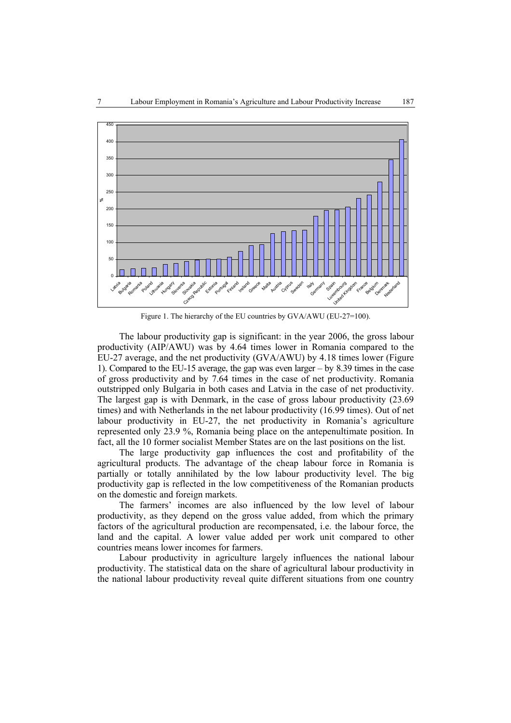

Figure 1. The hierarchy of the EU countries by GVA/AWU (EU-27=100).

The labour productivity gap is significant: in the year 2006, the gross labour productivity (AIP/AWU) was by 4.64 times lower in Romania compared to the EU-27 average, and the net productivity (GVA/AWU) by 4.18 times lower (Figure 1). Compared to the EU-15 average, the gap was even larger – by 8.39 times in the case of gross productivity and by 7.64 times in the case of net productivity. Romania outstripped only Bulgaria in both cases and Latvia in the case of net productivity. The largest gap is with Denmark, in the case of gross labour productivity (23.69 times) and with Netherlands in the net labour productivity (16.99 times). Out of net labour productivity in EU-27, the net productivity in Romania's agriculture represented only 23.9 %, Romania being place on the antepenultimate position. In fact, all the 10 former socialist Member States are on the last positions on the list.

The large productivity gap influences the cost and profitability of the agricultural products. The advantage of the cheap labour force in Romania is partially or totally annihilated by the low labour productivity level. The big productivity gap is reflected in the low competitiveness of the Romanian products on the domestic and foreign markets.

The farmers' incomes are also influenced by the low level of labour productivity, as they depend on the gross value added, from which the primary factors of the agricultural production are recompensated, i.e. the labour force, the land and the capital. A lower value added per work unit compared to other countries means lower incomes for farmers.

Labour productivity in agriculture largely influences the national labour productivity. The statistical data on the share of agricultural labour productivity in the national labour productivity reveal quite different situations from one country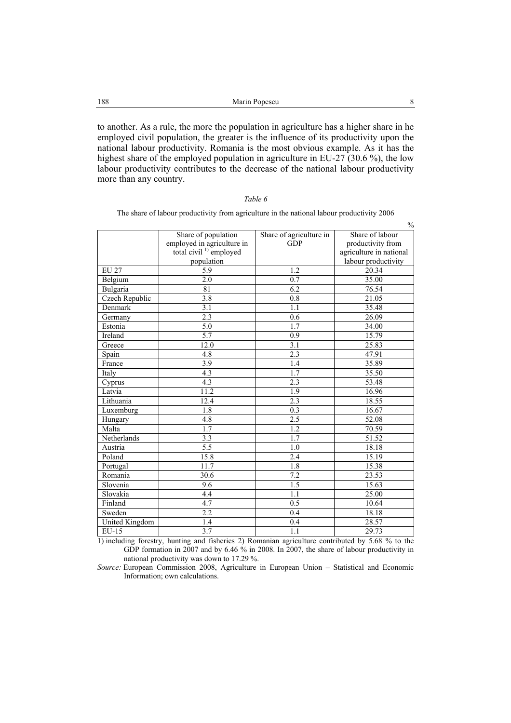| 188 | Marin Popescu |  |
|-----|---------------|--|
|     |               |  |

to another. As a rule, the more the population in agriculture has a higher share in he employed civil population, the greater is the influence of its productivity upon the national labour productivity. Romania is the most obvious example. As it has the highest share of the employed population in agriculture in EU-27 (30.6 %), the low labour productivity contributes to the decrease of the national labour productivity more than any country.

|  | ani |  |
|--|-----|--|
|--|-----|--|

 $\frac{0}{0}$  Share of population employed in agriculture in total civil  $1$ ) employed population Share of agriculture in GDP Share of labour productivity from agriculture in national labour productivity EU 27 1.2 20.34 Belgium 2.0 1 0.7 35.00 Bulgaria 1 81 1 6.2 1 76.54 Czech Republic 3.8 0.8 21.05<br>Denmark 3.1 1.1 35.48 Denmark 3.1 1.1 35.48 Germany 2.3 0.6 26.09 Estonia 1.7 34.00 Ireland 15.79 15.79 Greece 12.0 3.1 25.83 Spain 4.8 1.3.3 47.91 France 3.9 1.4 35.89 Italy 1.7  $\begin{array}{|c|c|c|c|c|c|c|c|c|} \hline \end{array}$  4.3  $\begin{array}{|c|c|c|c|c|c|c|c|} \hline \end{array}$  1.7  $\begin{array}{|c|c|c|c|c|c|c|c|} \hline \end{array}$  35.50 Cyprus 1.3 4.3 2.3 3.48 Latvia 11.2 11.9 16.96 Lithuania 12.4 18.55 Luxemburg 1.8 0.3 16.67 Hungary 1.8 4.8 2.5 32.08 Malta 1.7 1.2 1.2 70.59 Netherlands 3.3 1.7 51.52<br>Austria 5.5 1.0 18.18 Austria 18.18 18.18 Poland 15.8 15.19 Portugal 11.7 15.38 Romania 1 30.6 1 7.2 23.53 Slovenia 15.63 15.63 Slovakia 1.1 25.00 Finland 10.64 **4.7** 10.64 Sweden 2.2 0.4 18.18 United Kingdom 1.4 0.4 28.57<br>EU-15 3.7 1.1 29.73 EU-15 3.7 1.1 29.73

The share of labour productivity from agriculture in the national labour productivity 2006

1) including forestry, hunting and fisheries 2) Romanian agriculture contributed by 5.68 % to the GDP formation in 2007 and by 6.46 % in 2008. In 2007, the share of labour productivity in national productivity was down to 17.29 %.

*Source:* European Commission 2008, Agriculture in European Union – Statistical and Economic Information; own calculations.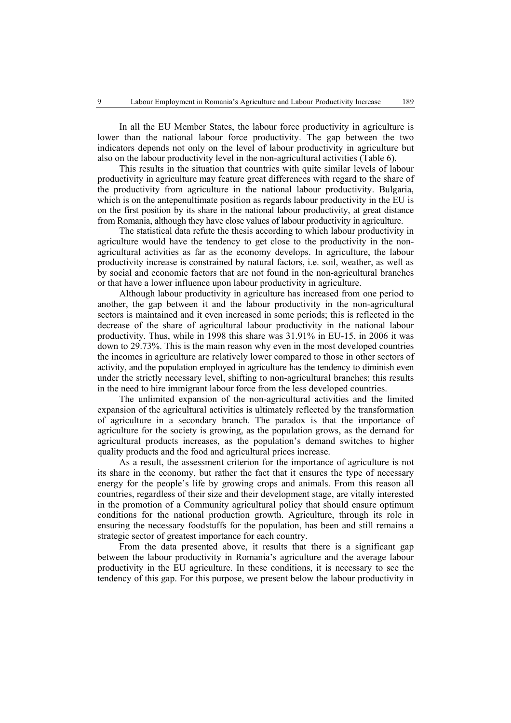In all the EU Member States, the labour force productivity in agriculture is lower than the national labour force productivity. The gap between the two indicators depends not only on the level of labour productivity in agriculture but also on the labour productivity level in the non-agricultural activities (Table 6).

This results in the situation that countries with quite similar levels of labour productivity in agriculture may feature great differences with regard to the share of the productivity from agriculture in the national labour productivity. Bulgaria, which is on the antepenultimate position as regards labour productivity in the EU is on the first position by its share in the national labour productivity, at great distance from Romania, although they have close values of labour productivity in agriculture.

The statistical data refute the thesis according to which labour productivity in agriculture would have the tendency to get close to the productivity in the nonagricultural activities as far as the economy develops. In agriculture, the labour productivity increase is constrained by natural factors, i.e. soil, weather, as well as by social and economic factors that are not found in the non-agricultural branches or that have a lower influence upon labour productivity in agriculture.

Although labour productivity in agriculture has increased from one period to another, the gap between it and the labour productivity in the non-agricultural sectors is maintained and it even increased in some periods; this is reflected in the decrease of the share of agricultural labour productivity in the national labour productivity. Thus, while in 1998 this share was 31.91% in EU-15, in 2006 it was down to 29.73%. This is the main reason why even in the most developed countries the incomes in agriculture are relatively lower compared to those in other sectors of activity, and the population employed in agriculture has the tendency to diminish even under the strictly necessary level, shifting to non-agricultural branches; this results in the need to hire immigrant labour force from the less developed countries.

The unlimited expansion of the non-agricultural activities and the limited expansion of the agricultural activities is ultimately reflected by the transformation of agriculture in a secondary branch. The paradox is that the importance of agriculture for the society is growing, as the population grows, as the demand for agricultural products increases, as the population's demand switches to higher quality products and the food and agricultural prices increase.

As a result, the assessment criterion for the importance of agriculture is not its share in the economy, but rather the fact that it ensures the type of necessary energy for the people's life by growing crops and animals. From this reason all countries, regardless of their size and their development stage, are vitally interested in the promotion of a Community agricultural policy that should ensure optimum conditions for the national production growth. Agriculture, through its role in ensuring the necessary foodstuffs for the population, has been and still remains a strategic sector of greatest importance for each country.

From the data presented above, it results that there is a significant gap between the labour productivity in Romania's agriculture and the average labour productivity in the EU agriculture. In these conditions, it is necessary to see the tendency of this gap. For this purpose, we present below the labour productivity in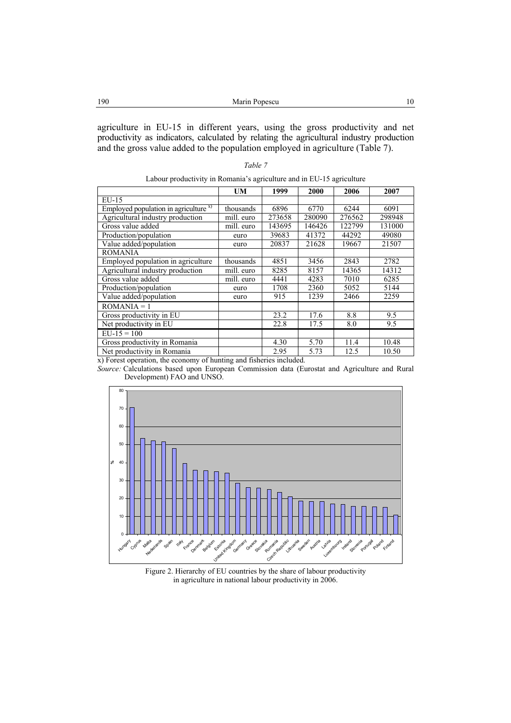| 190 | Marin Popescu |  |
|-----|---------------|--|
|     |               |  |

agriculture in EU-15 in different years, using the gross productivity and net productivity as indicators, calculated by relating the agricultural industry production and the gross value added to the population employed in agriculture (Table 7).

|  | ,,<br>r<br>77 |  |
|--|---------------|--|
|--|---------------|--|

| Labour productivity in Romania's agriculture and in EU-15 agriculture |  |
|-----------------------------------------------------------------------|--|
|                                                                       |  |

|                                          | UM         | 1999   | 2000   | 2006   | 2007   |
|------------------------------------------|------------|--------|--------|--------|--------|
| EU-15                                    |            |        |        |        |        |
| Employed population in agriculture $x$ ) | thousands  | 6896   | 6770   | 6244   | 6091   |
| Agricultural industry production         | mill. euro | 273658 | 280090 | 276562 | 298948 |
| Gross value added                        | mill. euro | 143695 | 146426 | 122799 | 131000 |
| Production/population                    | euro       | 39683  | 41372  | 44292  | 49080  |
| Value added/population                   | euro       | 20837  | 21628  | 19667  | 21507  |
| <b>ROMANIA</b>                           |            |        |        |        |        |
| Employed population in agriculture       | thousands  | 4851   | 3456   | 2843   | 2782   |
| Agricultural industry production         | mill. euro | 8285   | 8157   | 14365  | 14312  |
| Gross value added                        | mill. euro | 4441   | 4283   | 7010   | 6285   |
| Production/population                    | euro       | 1708   | 2360   | 5052   | 5144   |
| Value added/population                   | euro       | 915    | 1239   | 2466   | 2259   |
| $ROMANIA = 1$                            |            |        |        |        |        |
| Gross productivity in EU                 |            | 23.2   | 17.6   | 8.8    | 9.5    |
| Net productivity in EU                   |            | 22.8   | 17.5   | 8.0    | 9.5    |
| $\overline{EU}$ -15 = 100                |            |        |        |        |        |
| Gross productivity in Romania            |            | 4.30   | 5.70   | 11.4   | 10.48  |
| Net productivity in Romania              |            | 2.95   | 5.73   | 12.5   | 10.50  |

x) Forest operation, the economy of hunting and fisheries included.

*Source:* Calculations based upon European Commission data (Eurostat and Agriculture and Rural Development) FAO and UNSO.



Figure 2. Hierarchy of EU countries by the share of labour productivity in agriculture in national labour productivity in 2006.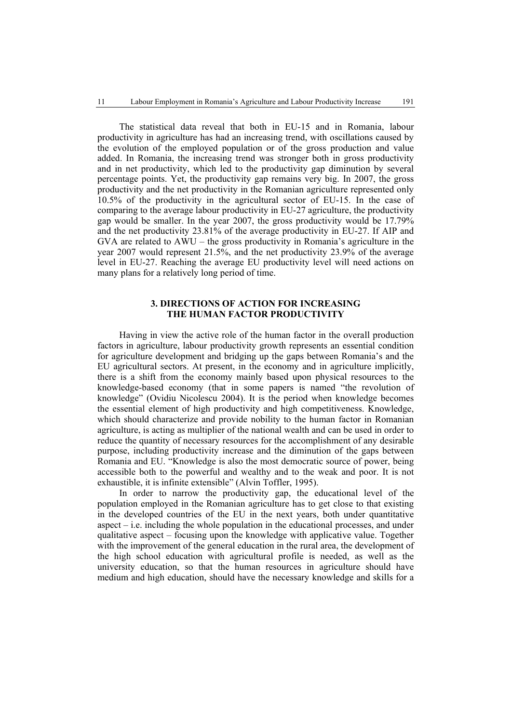The statistical data reveal that both in EU-15 and in Romania, labour productivity in agriculture has had an increasing trend, with oscillations caused by the evolution of the employed population or of the gross production and value added. In Romania, the increasing trend was stronger both in gross productivity and in net productivity, which led to the productivity gap diminution by several percentage points. Yet, the productivity gap remains very big. In 2007, the gross productivity and the net productivity in the Romanian agriculture represented only 10.5% of the productivity in the agricultural sector of EU-15. In the case of comparing to the average labour productivity in EU-27 agriculture, the productivity gap would be smaller. In the year 2007, the gross productivity would be 17.79% and the net productivity 23.81% of the average productivity in EU-27. If AIP and GVA are related to AWU – the gross productivity in Romania's agriculture in the year 2007 would represent 21.5%, and the net productivity 23.9% of the average level in EU-27. Reaching the average EU productivity level will need actions on many plans for a relatively long period of time.

# **3. DIRECTIONS OF ACTION FOR INCREASING THE HUMAN FACTOR PRODUCTIVITY**

Having in view the active role of the human factor in the overall production factors in agriculture, labour productivity growth represents an essential condition for agriculture development and bridging up the gaps between Romania's and the EU agricultural sectors. At present, in the economy and in agriculture implicitly, there is a shift from the economy mainly based upon physical resources to the knowledge-based economy (that in some papers is named "the revolution of knowledge" (Ovidiu Nicolescu 2004). It is the period when knowledge becomes the essential element of high productivity and high competitiveness. Knowledge, which should characterize and provide nobility to the human factor in Romanian agriculture, is acting as multiplier of the national wealth and can be used in order to reduce the quantity of necessary resources for the accomplishment of any desirable purpose, including productivity increase and the diminution of the gaps between Romania and EU. "Knowledge is also the most democratic source of power, being accessible both to the powerful and wealthy and to the weak and poor. It is not exhaustible, it is infinite extensible" (Alvin Toffler, 1995).

In order to narrow the productivity gap, the educational level of the population employed in the Romanian agriculture has to get close to that existing in the developed countries of the EU in the next years, both under quantitative aspect – i.e. including the whole population in the educational processes, and under qualitative aspect – focusing upon the knowledge with applicative value. Together with the improvement of the general education in the rural area, the development of the high school education with agricultural profile is needed, as well as the university education, so that the human resources in agriculture should have medium and high education, should have the necessary knowledge and skills for a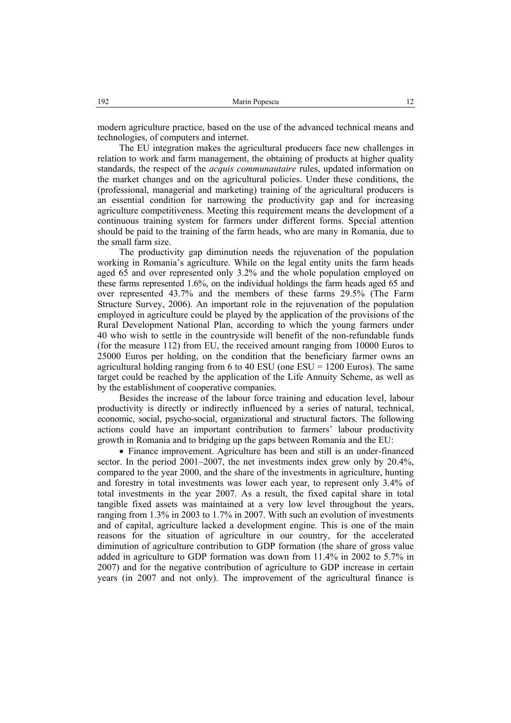modern agriculture practice, based on the use of the advanced technical means and technologies, of computers and internet.

The EU integration makes the agricultural producers face new challenges in relation to work and farm management, the obtaining of products at higher quality standards, the respect of the *acquis communautaire* rules, updated information on the market changes and on the agricultural policies. Under these conditions, the (professional, managerial and marketing) training of the agricultural producers is an essential condition for narrowing the productivity gap and for increasing agriculture competitiveness. Meeting this requirement means the development of a continuous training system for farmers under different forms. Special attention should be paid to the training of the farm heads, who are many in Romania, due to the small farm size.

The productivity gap diminution needs the rejuvenation of the population working in Romania's agriculture. While on the legal entity units the farm heads aged 65 and over represented only 3.2% and the whole population employed on these farms represented 1.6%, on the individual holdings the farm heads aged 65 and over represented 43.7% and the members of these farms 29.5% (The Farm Structure Survey, 2006). An important role in the rejuvenation of the population employed in agriculture could be played by the application of the provisions of the Rural Development National Plan, according to which the young farmers under 40 who wish to settle in the countryside will benefit of the non-refundable funds (for the measure 112) from EU, the received amount ranging from 10000 Euros to 25000 Euros per holding, on the condition that the beneficiary farmer owns an agricultural holding ranging from 6 to 40 ESU (one  $ESU = 1200$  Euros). The same target could be reached by the application of the Life Annuity Scheme, as well as by the establishment of cooperative companies.

Besides the increase of the labour force training and education level, labour productivity is directly or indirectly influenced by a series of natural, technical, economic, social, psycho-social, organizational and structural factors. The following actions could have an important contribution to farmers' labour productivity growth in Romania and to bridging up the gaps between Romania and the EU:

• Finance improvement. Agriculture has been and still is an under-financed sector. In the period 2001–2007, the net investments index grew only by 20.4%, compared to the year 2000, and the share of the investments in agriculture, hunting and forestry in total investments was lower each year, to represent only 3.4% of total investments in the year 2007. As a result, the fixed capital share in total tangible fixed assets was maintained at a very low level throughout the years, ranging from 1.3% in 2003 to 1.7% in 2007. With such an evolution of investments and of capital, agriculture lacked a development engine. This is one of the main reasons for the situation of agriculture in our country, for the accelerated diminution of agriculture contribution to GDP formation (the share of gross value added in agriculture to GDP formation was down from 11.4% in 2002 to 5.7% in 2007) and for the negative contribution of agriculture to GDP increase in certain years (in 2007 and not only). The improvement of the agricultural finance is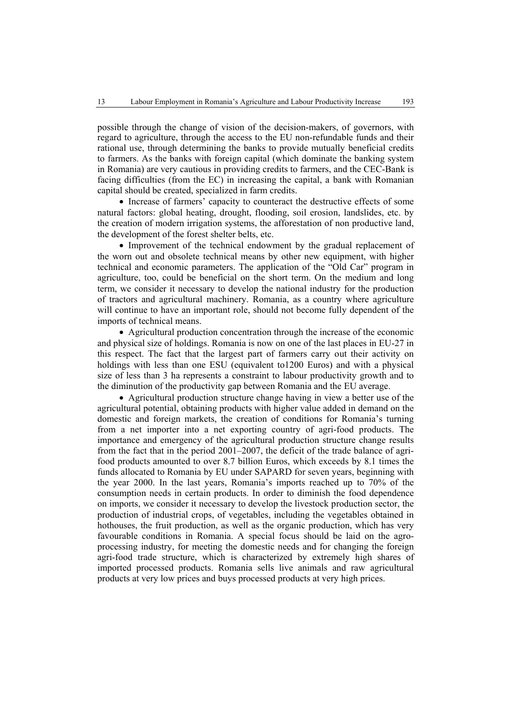possible through the change of vision of the decision-makers, of governors, with regard to agriculture, through the access to the EU non-refundable funds and their rational use, through determining the banks to provide mutually beneficial credits to farmers. As the banks with foreign capital (which dominate the banking system in Romania) are very cautious in providing credits to farmers, and the CEC-Bank is facing difficulties (from the EC) in increasing the capital, a bank with Romanian capital should be created, specialized in farm credits.

• Increase of farmers' capacity to counteract the destructive effects of some natural factors: global heating, drought, flooding, soil erosion, landslides, etc. by the creation of modern irrigation systems, the afforestation of non productive land, the development of the forest shelter belts, etc.

• Improvement of the technical endowment by the gradual replacement of the worn out and obsolete technical means by other new equipment, with higher technical and economic parameters. The application of the "Old Car" program in agriculture, too, could be beneficial on the short term. On the medium and long term, we consider it necessary to develop the national industry for the production of tractors and agricultural machinery. Romania, as a country where agriculture will continue to have an important role, should not become fully dependent of the imports of technical means.

• Agricultural production concentration through the increase of the economic and physical size of holdings. Romania is now on one of the last places in EU-27 in this respect. The fact that the largest part of farmers carry out their activity on holdings with less than one ESU (equivalent to1200 Euros) and with a physical size of less than 3 ha represents a constraint to labour productivity growth and to the diminution of the productivity gap between Romania and the EU average.

• Agricultural production structure change having in view a better use of the agricultural potential, obtaining products with higher value added in demand on the domestic and foreign markets, the creation of conditions for Romania's turning from a net importer into a net exporting country of agri-food products. The importance and emergency of the agricultural production structure change results from the fact that in the period 2001–2007, the deficit of the trade balance of agrifood products amounted to over 8.7 billion Euros, which exceeds by 8.1 times the funds allocated to Romania by EU under SAPARD for seven years, beginning with the year 2000. In the last years, Romania's imports reached up to 70% of the consumption needs in certain products. In order to diminish the food dependence on imports, we consider it necessary to develop the livestock production sector, the production of industrial crops, of vegetables, including the vegetables obtained in hothouses, the fruit production, as well as the organic production, which has very favourable conditions in Romania. A special focus should be laid on the agroprocessing industry, for meeting the domestic needs and for changing the foreign agri-food trade structure, which is characterized by extremely high shares of imported processed products. Romania sells live animals and raw agricultural products at very low prices and buys processed products at very high prices.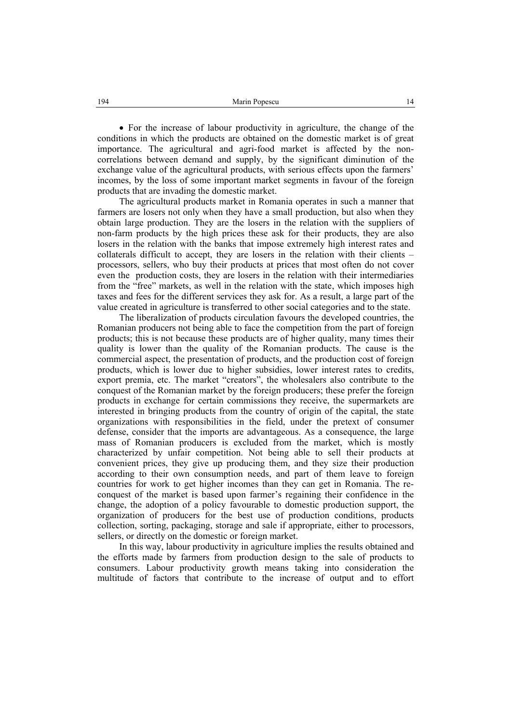• For the increase of labour productivity in agriculture, the change of the conditions in which the products are obtained on the domestic market is of great importance. The agricultural and agri-food market is affected by the noncorrelations between demand and supply, by the significant diminution of the exchange value of the agricultural products, with serious effects upon the farmers' incomes, by the loss of some important market segments in favour of the foreign products that are invading the domestic market.

The agricultural products market in Romania operates in such a manner that farmers are losers not only when they have a small production, but also when they obtain large production. They are the losers in the relation with the suppliers of non-farm products by the high prices these ask for their products, they are also losers in the relation with the banks that impose extremely high interest rates and collaterals difficult to accept, they are losers in the relation with their clients – processors, sellers, who buy their products at prices that most often do not cover even the production costs, they are losers in the relation with their intermediaries from the "free" markets, as well in the relation with the state, which imposes high taxes and fees for the different services they ask for. As a result, a large part of the value created in agriculture is transferred to other social categories and to the state.

The liberalization of products circulation favours the developed countries, the Romanian producers not being able to face the competition from the part of foreign products; this is not because these products are of higher quality, many times their quality is lower than the quality of the Romanian products. The cause is the commercial aspect, the presentation of products, and the production cost of foreign products, which is lower due to higher subsidies, lower interest rates to credits, export premia, etc. The market "creators", the wholesalers also contribute to the conquest of the Romanian market by the foreign producers; these prefer the foreign products in exchange for certain commissions they receive, the supermarkets are interested in bringing products from the country of origin of the capital, the state organizations with responsibilities in the field, under the pretext of consumer defense, consider that the imports are advantageous. As a consequence, the large mass of Romanian producers is excluded from the market, which is mostly characterized by unfair competition. Not being able to sell their products at convenient prices, they give up producing them, and they size their production according to their own consumption needs, and part of them leave to foreign countries for work to get higher incomes than they can get in Romania. The reconquest of the market is based upon farmer's regaining their confidence in the change, the adoption of a policy favourable to domestic production support, the organization of producers for the best use of production conditions, products collection, sorting, packaging, storage and sale if appropriate, either to processors, sellers, or directly on the domestic or foreign market.

In this way, labour productivity in agriculture implies the results obtained and the efforts made by farmers from production design to the sale of products to consumers. Labour productivity growth means taking into consideration the multitude of factors that contribute to the increase of output and to effort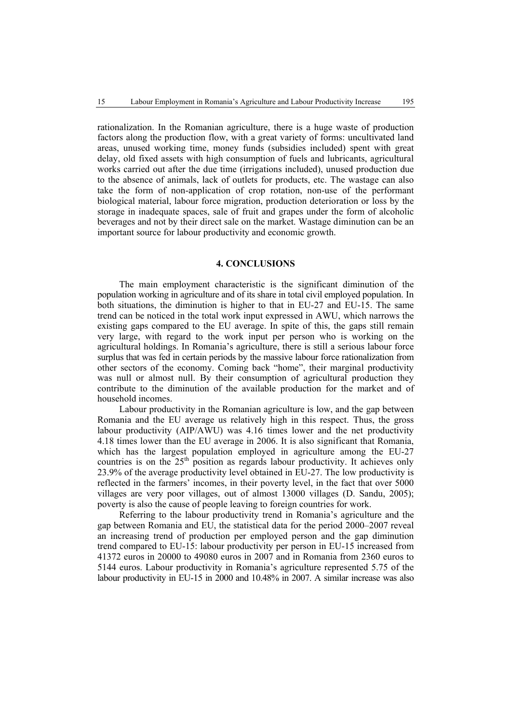rationalization. In the Romanian agriculture, there is a huge waste of production factors along the production flow, with a great variety of forms: uncultivated land areas, unused working time, money funds (subsidies included) spent with great delay, old fixed assets with high consumption of fuels and lubricants, agricultural works carried out after the due time (irrigations included), unused production due to the absence of animals, lack of outlets for products, etc. The wastage can also take the form of non-application of crop rotation, non-use of the performant biological material, labour force migration, production deterioration or loss by the storage in inadequate spaces, sale of fruit and grapes under the form of alcoholic beverages and not by their direct sale on the market. Wastage diminution can be an important source for labour productivity and economic growth.

### **4. CONCLUSIONS**

The main employment characteristic is the significant diminution of the population working in agriculture and of its share in total civil employed population. In both situations, the diminution is higher to that in EU-27 and EU-15. The same trend can be noticed in the total work input expressed in AWU, which narrows the existing gaps compared to the EU average. In spite of this, the gaps still remain very large, with regard to the work input per person who is working on the agricultural holdings. In Romania's agriculture, there is still a serious labour force surplus that was fed in certain periods by the massive labour force rationalization from other sectors of the economy. Coming back "home", their marginal productivity was null or almost null. By their consumption of agricultural production they contribute to the diminution of the available production for the market and of household incomes.

Labour productivity in the Romanian agriculture is low, and the gap between Romania and the EU average us relatively high in this respect. Thus, the gross labour productivity (AIP/AWU) was 4.16 times lower and the net productivity 4.18 times lower than the EU average in 2006. It is also significant that Romania, which has the largest population employed in agriculture among the EU-27 countries is on the  $25<sup>th</sup>$  position as regards labour productivity. It achieves only 23.9% of the average productivity level obtained in EU-27. The low productivity is reflected in the farmers' incomes, in their poverty level, in the fact that over 5000 villages are very poor villages, out of almost 13000 villages (D. Sandu, 2005); poverty is also the cause of people leaving to foreign countries for work.

Referring to the labour productivity trend in Romania's agriculture and the gap between Romania and EU, the statistical data for the period 2000–2007 reveal an increasing trend of production per employed person and the gap diminution trend compared to EU-15: labour productivity per person in EU-15 increased from 41372 euros in 20000 to 49080 euros in 2007 and in Romania from 2360 euros to 5144 euros. Labour productivity in Romania's agriculture represented 5.75 of the labour productivity in EU-15 in 2000 and 10.48% in 2007. A similar increase was also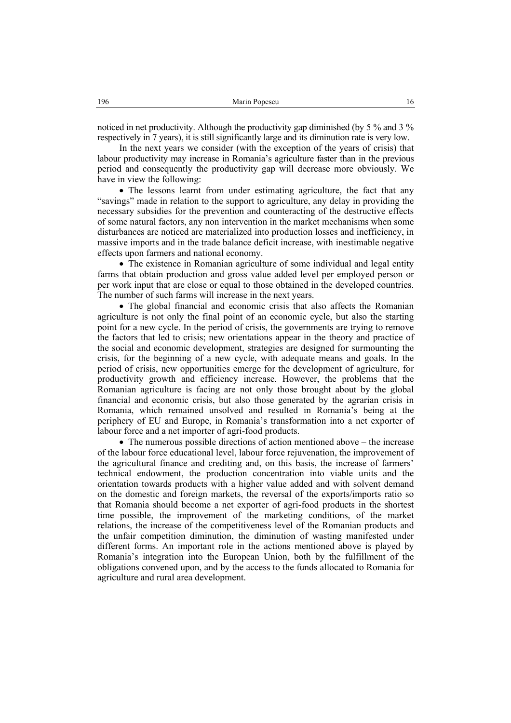noticed in net productivity. Although the productivity gap diminished (by 5 % and 3 % respectively in 7 years), it is still significantly large and its diminution rate is very low.

In the next years we consider (with the exception of the years of crisis) that labour productivity may increase in Romania's agriculture faster than in the previous period and consequently the productivity gap will decrease more obviously. We have in view the following:

• The lessons learnt from under estimating agriculture, the fact that any "savings" made in relation to the support to agriculture, any delay in providing the necessary subsidies for the prevention and counteracting of the destructive effects of some natural factors, any non intervention in the market mechanisms when some disturbances are noticed are materialized into production losses and inefficiency, in massive imports and in the trade balance deficit increase, with inestimable negative effects upon farmers and national economy.

• The existence in Romanian agriculture of some individual and legal entity farms that obtain production and gross value added level per employed person or per work input that are close or equal to those obtained in the developed countries. The number of such farms will increase in the next years.

• The global financial and economic crisis that also affects the Romanian agriculture is not only the final point of an economic cycle, but also the starting point for a new cycle. In the period of crisis, the governments are trying to remove the factors that led to crisis; new orientations appear in the theory and practice of the social and economic development, strategies are designed for surmounting the crisis, for the beginning of a new cycle, with adequate means and goals. In the period of crisis, new opportunities emerge for the development of agriculture, for productivity growth and efficiency increase. However, the problems that the Romanian agriculture is facing are not only those brought about by the global financial and economic crisis, but also those generated by the agrarian crisis in Romania, which remained unsolved and resulted in Romania's being at the periphery of EU and Europe, in Romania's transformation into a net exporter of labour force and a net importer of agri-food products.

• The numerous possible directions of action mentioned above – the increase of the labour force educational level, labour force rejuvenation, the improvement of the agricultural finance and crediting and, on this basis, the increase of farmers' technical endowment, the production concentration into viable units and the orientation towards products with a higher value added and with solvent demand on the domestic and foreign markets, the reversal of the exports/imports ratio so that Romania should become a net exporter of agri-food products in the shortest time possible, the improvement of the marketing conditions, of the market relations, the increase of the competitiveness level of the Romanian products and the unfair competition diminution, the diminution of wasting manifested under different forms. An important role in the actions mentioned above is played by Romania's integration into the European Union, both by the fulfillment of the obligations convened upon, and by the access to the funds allocated to Romania for agriculture and rural area development.